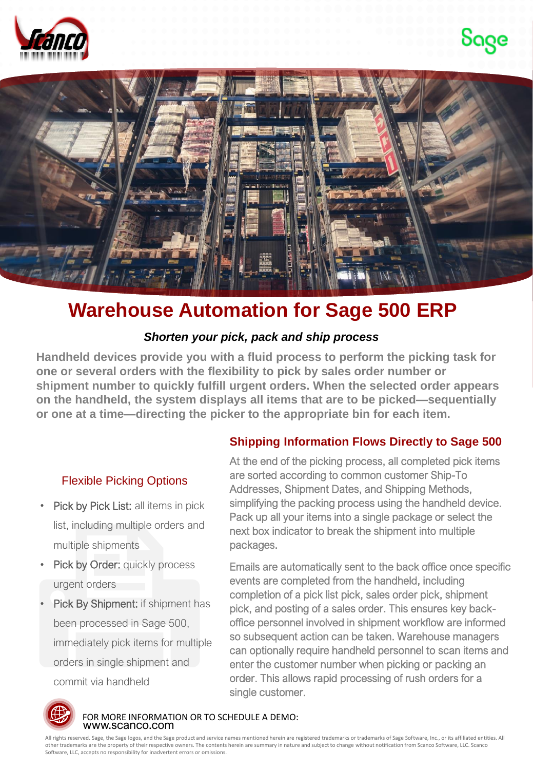





# **Warehouse Automation for Sage 500 ERP**

## *Shorten your pick, pack and ship process*

**Handheld devices provide you with a fluid process to perform the picking task for one or several orders with the flexibility to pick by sales order number or shipment number to quickly fulfill urgent orders. When the selected order appears on the handheld, the system displays all items that are to be picked—sequentially or one at a time—directing the picker to the appropriate bin for each item.** 

## Flexible Picking Options

- Pick by Pick List: all items in pick list, including multiple orders and multiple shipments
- Pick by Order: quickly process urgent orders
- Pick By Shipment: if shipment has been processed in Sage 500, immediately pick items for multiple orders in single shipment and commit via handheld

## **Shipping Information Flows Directly to Sage 500**

At the end of the picking process, all completed pick items are sorted according to common customer Ship-To Addresses, Shipment Dates, and Shipping Methods, simplifying the packing process using the handheld device. Pack up all your items into a single package or select the next box indicator to break the shipment into multiple packages.

Emails are automatically sent to the back office once specific events are completed from the handheld, including completion of a pick list pick, sales order pick, shipment pick, and posting of a sales order. This ensures key backoffice personnel involved in shipment workflow are informed so subsequent action can be taken. Warehouse managers can optionally require handheld personnel to scan items and enter the customer number when picking or packing an order. This allows rapid processing of rush orders for a single customer.



www.scanco.com FOR MORE INFORMATION OR TO SCHEDULE A DEMO:

All rights reserved. Sage, the Sage logos, and the Sage product and service names mentioned herein are registered trademarks or trademarks of Sage Software, Inc., or its affiliated entities. All<br>other trademarks are the pr Software, LLC, accepts no responsibility for inadvertent errors or omissions.